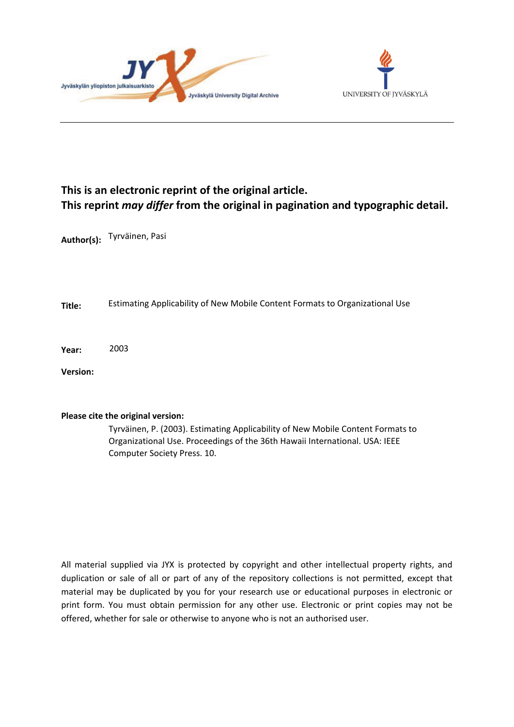



# **This is an electronic reprint of the original article. This reprint** *may differ* **from the original in pagination and typographic detail.**

**Author(s):**  Tyrväinen, Pasi

**Title:** Estimating Applicability of New Mobile Content Formats to Organizational Use

**Year:**  2003

**Version:**

### **Please cite the original version:**

Tyrväinen, P. (2003). Estimating Applicability of New Mobile Content Formats to Organizational Use. Proceedings of the 36th Hawaii International. USA: IEEE Computer Society Press. 10.

All material supplied via JYX is protected by copyright and other intellectual property rights, and duplication or sale of all or part of any of the repository collections is not permitted, except that material may be duplicated by you for your research use or educational purposes in electronic or print form. You must obtain permission for any other use. Electronic or print copies may not be offered, whether for sale or otherwise to anyone who is not an authorised user.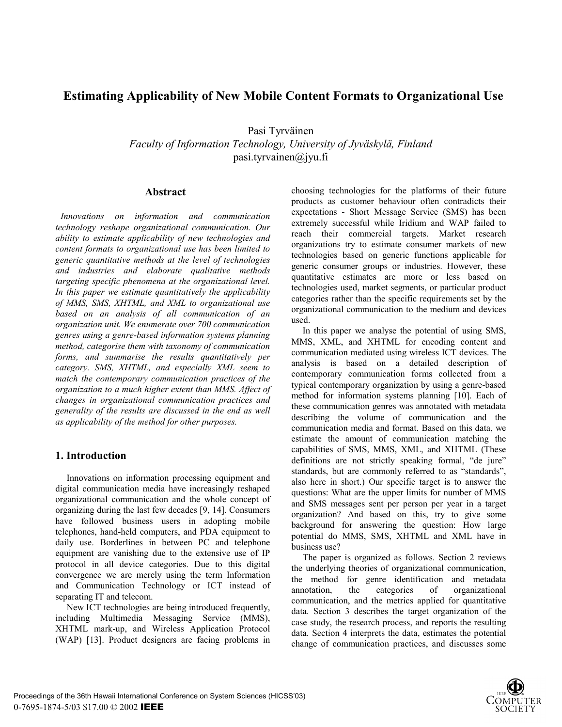# **Estimating Applicability of New Mobile Content Formats to Organizational Use**

Pasi Tyrväinen

*Faculty of Information Technology, University of Jyväskylä, Finland*  pasi.tyrvainen@jyu.fi

#### **Abstract**

*Innovations on information and communication technology reshape organizational communication. Our ability to estimate applicability of new technologies and content formats to organizational use has been limited to generic quantitative methods at the level of technologies and industries and elaborate qualitative methods targeting specific phenomena at the organizational level. In this paper we estimate quantitatively the applicability of MMS, SMS, XHTML, and XML to organizational use based on an analysis of all communication of an organization unit. We enumerate over 700 communication genres using a genre-based information systems planning method, categorise them with taxonomy of communication forms, and summarise the results quantitatively per category. SMS, XHTML, and especially XML seem to match the contemporary communication practices of the organization to a much higher extent than MMS. Affect of changes in organizational communication practices and generality of the results are discussed in the end as well as applicability of the method for other purposes.* 

## **1. Introduction**

Innovations on information processing equipment and digital communication media have increasingly reshaped organizational communication and the whole concept of organizing during the last few decades [9, 14]. Consumers have followed business users in adopting mobile telephones, hand-held computers, and PDA equipment to daily use. Borderlines in between PC and telephone equipment are vanishing due to the extensive use of IP protocol in all device categories. Due to this digital convergence we are merely using the term Information and Communication Technology or ICT instead of separating IT and telecom.

New ICT technologies are being introduced frequently, including Multimedia Messaging Service (MMS), XHTML mark-up, and Wireless Application Protocol (WAP) [13]. Product designers are facing problems in choosing technologies for the platforms of their future products as customer behaviour often contradicts their expectations - Short Message Service (SMS) has been extremely successful while Iridium and WAP failed to reach their commercial targets. Market research organizations try to estimate consumer markets of new technologies based on generic functions applicable for generic consumer groups or industries. However, these quantitative estimates are more or less based on technologies used, market segments, or particular product categories rather than the specific requirements set by the organizational communication to the medium and devices used.

In this paper we analyse the potential of using SMS, MMS, XML, and XHTML for encoding content and communication mediated using wireless ICT devices. The analysis is based on a detailed description of contemporary communication forms collected from a typical contemporary organization by using a genre-based method for information systems planning [10]. Each of these communication genres was annotated with metadata describing the volume of communication and the communication media and format. Based on this data, we estimate the amount of communication matching the capabilities of SMS, MMS, XML, and XHTML (These definitions are not strictly speaking formal, "de jure" standards, but are commonly referred to as "standards", also here in short.) Our specific target is to answer the questions: What are the upper limits for number of MMS and SMS messages sent per person per year in a target organization? And based on this, try to give some background for answering the question: How large potential do MMS, SMS, XHTML and XML have in business use?

The paper is organized as follows. Section 2 reviews the underlying theories of organizational communication, the method for genre identification and metadata annotation, the categories of organizational communication, and the metrics applied for quantitative data. Section 3 describes the target organization of the case study, the research process, and reports the resulting data. Section 4 interprets the data, estimates the potential change of communication practices, and discusses some

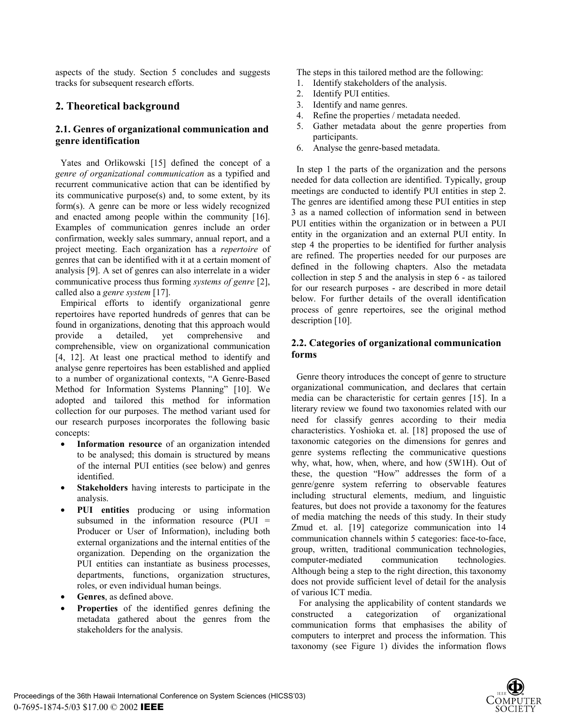aspects of the study. Section 5 concludes and suggests tracks for subsequent research efforts.

# **2. Theoretical background**

# **2.1. Genres of organizational communication and genre identification**

Yates and Orlikowski [15] defined the concept of a *genre of organizational communication* as a typified and recurrent communicative action that can be identified by its communicative purpose(s) and, to some extent, by its form(s). A genre can be more or less widely recognized and enacted among people within the community [16]. Examples of communication genres include an order confirmation, weekly sales summary, annual report, and a project meeting. Each organization has a *repertoire* of genres that can be identified with it at a certain moment of analysis [9]. A set of genres can also interrelate in a wider communicative process thus forming *systems of genre* [2], called also a *genre system* [17].

Empirical efforts to identify organizational genre repertoires have reported hundreds of genres that can be found in organizations, denoting that this approach would provide a detailed, yet comprehensive and comprehensible, view on organizational communication [4, 12]. At least one practical method to identify and analyse genre repertoires has been established and applied to a number of organizational contexts, "A Genre-Based Method for Information Systems Planning" [10]. We adopted and tailored this method for information collection for our purposes. The method variant used for our research purposes incorporates the following basic concepts:

- **Information resource** of an organization intended to be analysed; this domain is structured by means of the internal PUI entities (see below) and genres identified.
- **Stakeholders** having interests to participate in the analysis.
- **PUI entities** producing or using information subsumed in the information resource  $(PUI =$ Producer or User of Information), including both external organizations and the internal entities of the organization. Depending on the organization the PUI entities can instantiate as business processes, departments, functions, organization structures, roles, or even individual human beings.
- Genres, as defined above.
- **Properties** of the identified genres defining the metadata gathered about the genres from the stakeholders for the analysis.

The steps in this tailored method are the following:

- 1. Identify stakeholders of the analysis.
- 2. Identify PUI entities.
- 3. Identify and name genres.
- 4. Refine the properties / metadata needed.
- 5. Gather metadata about the genre properties from participants.
- 6. Analyse the genre-based metadata.

In step 1 the parts of the organization and the persons needed for data collection are identified. Typically, group meetings are conducted to identify PUI entities in step 2. The genres are identified among these PUI entities in step 3 as a named collection of information send in between PUI entities within the organization or in between a PUI entity in the organization and an external PUI entity. In step 4 the properties to be identified for further analysis are refined. The properties needed for our purposes are defined in the following chapters. Also the metadata collection in step 5 and the analysis in step 6 - as tailored for our research purposes - are described in more detail below. For further details of the overall identification process of genre repertoires, see the original method description [10].

# **2.2. Categories of organizational communication forms**

Genre theory introduces the concept of genre to structure organizational communication, and declares that certain media can be characteristic for certain genres [15]. In a literary review we found two taxonomies related with our need for classify genres according to their media characteristics. Yoshioka et. al. [18] proposed the use of taxonomic categories on the dimensions for genres and genre systems reflecting the communicative questions why, what, how, when, where, and how (5W1H). Out of these, the question "How" addresses the form of a genre/genre system referring to observable features including structural elements, medium, and linguistic features, but does not provide a taxonomy for the features of media matching the needs of this study. In their study Zmud et. al. [19] categorize communication into 14 communication channels within 5 categories: face-to-face, group, written, traditional communication technologies, computer-mediated communication technologies. Although being a step to the right direction, this taxonomy does not provide sufficient level of detail for the analysis of various ICT media.

 For analysing the applicability of content standards we constructed a categorization of organizational communication forms that emphasises the ability of computers to interpret and process the information. This taxonomy (see Figure 1) divides the information flows

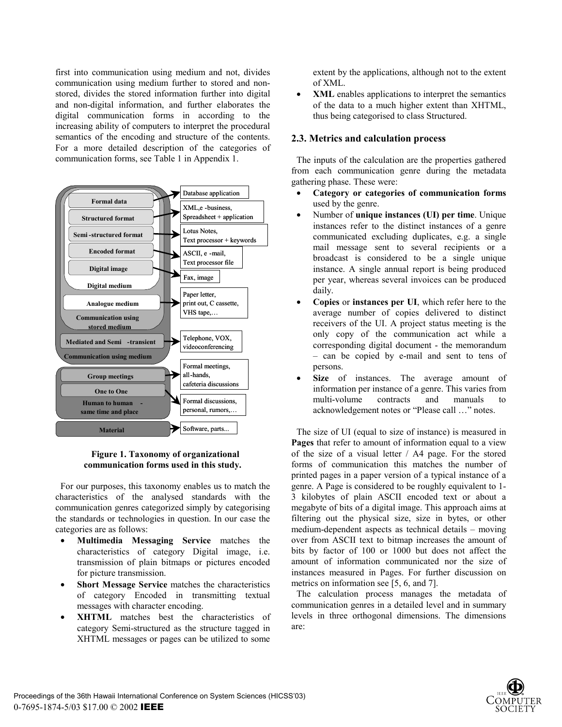first into communication using medium and not, divides communication using medium further to stored and nonstored, divides the stored information further into digital and non-digital information, and further elaborates the digital communication forms in according to the increasing ability of computers to interpret the procedural semantics of the encoding and structure of the contents. For a more detailed description of the categories of communication forms, see Table 1 in Appendix 1.



#### **Figure 1. Taxonomy of organizational communication forms used in this study.**

For our purposes, this taxonomy enables us to match the characteristics of the analysed standards with the communication genres categorized simply by categorising the standards or technologies in question. In our case the categories are as follows:

- **Multimedia Messaging Service** matches the characteristics of category Digital image, i.e. transmission of plain bitmaps or pictures encoded for picture transmission.
- **Short Message Service** matches the characteristics of category Encoded in transmitting textual messages with character encoding.
- **XHTML** matches best the characteristics of category Semi-structured as the structure tagged in XHTML messages or pages can be utilized to some

extent by the applications, although not to the extent of XML.

**XML** enables applications to interpret the semantics of the data to a much higher extent than XHTML, thus being categorised to class Structured.

### **2.3. Metrics and calculation process**

The inputs of the calculation are the properties gathered from each communication genre during the metadata gathering phase. These were:

- **Category or categories of communication forms** used by the genre.
- Number of **unique instances (UI) per time**. Unique instances refer to the distinct instances of a genre communicated excluding duplicates, e.g. a single mail message sent to several recipients or a broadcast is considered to be a single unique instance. A single annual report is being produced per year, whereas several invoices can be produced daily.
- **Copies** or **instances per UI**, which refer here to the average number of copies delivered to distinct receivers of the UI. A project status meeting is the only copy of the communication act while a corresponding digital document - the memorandum – can be copied by e-mail and sent to tens of persons.
- **Size** of instances. The average amount of information per instance of a genre. This varies from multi-volume contracts and manuals to acknowledgement notes or "Please call …" notes.

The size of UI (equal to size of instance) is measured in **Pages** that refer to amount of information equal to a view of the size of a visual letter / A4 page. For the stored forms of communication this matches the number of printed pages in a paper version of a typical instance of a genre. A Page is considered to be roughly equivalent to 1- 3 kilobytes of plain ASCII encoded text or about a megabyte of bits of a digital image. This approach aims at filtering out the physical size, size in bytes, or other medium-dependent aspects as technical details – moving over from ASCII text to bitmap increases the amount of bits by factor of 100 or 1000 but does not affect the amount of information communicated nor the size of instances measured in Pages. For further discussion on metrics on information see [5, 6, and 7].

The calculation process manages the metadata of communication genres in a detailed level and in summary levels in three orthogonal dimensions. The dimensions are:

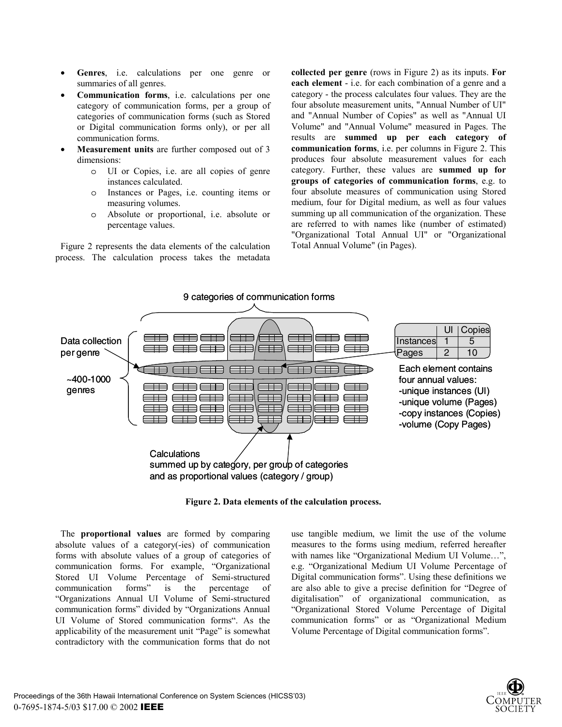- **Genres**, i.e. calculations per one genre or summaries of all genres.
- **Communication forms**, i.e. calculations per one category of communication forms, per a group of categories of communication forms (such as Stored or Digital communication forms only), or per all communication forms.
- **Measurement units** are further composed out of 3 dimensions:
	- o UI or Copies, i.e. are all copies of genre instances calculated.
	- o Instances or Pages, i.e. counting items or measuring volumes.
	- o Absolute or proportional, i.e. absolute or percentage values.

Figure 2 represents the data elements of the calculation process. The calculation process takes the metadata **collected per genre** (rows in Figure 2) as its inputs. **For each element** - i.e. for each combination of a genre and a category - the process calculates four values. They are the four absolute measurement units, "Annual Number of UI" and "Annual Number of Copies" as well as "Annual UI Volume" and "Annual Volume" measured in Pages. The results are **summed up per each category of communication forms**, i.e. per columns in Figure 2. This produces four absolute measurement values for each category. Further, these values are **summed up for groups of categories of communication forms**, e.g. to four absolute measures of communication using Stored medium, four for Digital medium, as well as four values summing up all communication of the organization. These are referred to with names like (number of estimated) "Organizational Total Annual UI" or "Organizational Total Annual Volume" (in Pages).



**Figure 2. Data elements of the calculation process.** 

The **proportional values** are formed by comparing absolute values of a category(-ies) of communication forms with absolute values of a group of categories of communication forms. For example, "Organizational Stored UI Volume Percentage of Semi-structured communication forms" is the percentage of "Organizations Annual UI Volume of Semi-structured communication forms" divided by "Organizations Annual UI Volume of Stored communication forms". As the applicability of the measurement unit "Page" is somewhat contradictory with the communication forms that do not

use tangible medium, we limit the use of the volume measures to the forms using medium, referred hereafter with names like "Organizational Medium UI Volume…", e.g. "Organizational Medium UI Volume Percentage of Digital communication forms". Using these definitions we are also able to give a precise definition for "Degree of digitalisation" of organizational communication, as "Organizational Stored Volume Percentage of Digital communication forms" or as "Organizational Medium Volume Percentage of Digital communication forms".

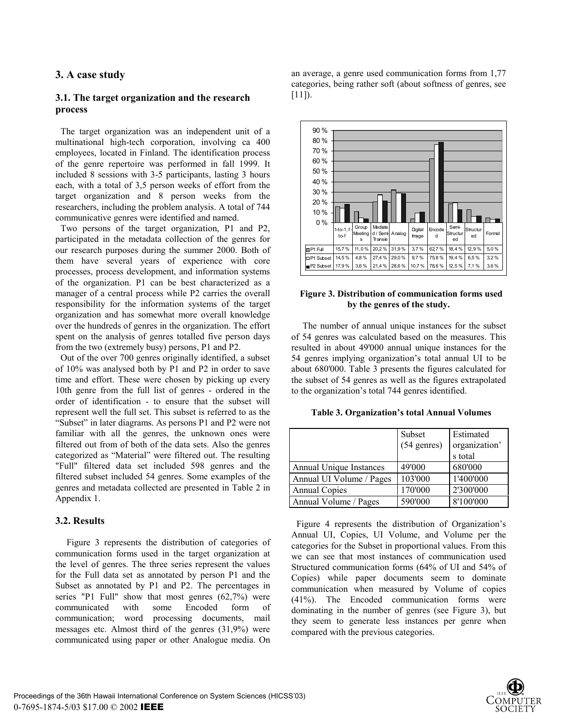# **3. A case study**

## **3.1. The target organization and the research process**

The target organization was an independent unit of a multinational high-tech corporation, involving ca 400 employees, located in Finland. The identification process of the genre repertoire was performed in fall 1999. It included 8 sessions with 3-5 participants, lasting 3 hours each, with a total of 3,5 person weeks of effort from the target organization and 8 person weeks from the researchers, including the problem analysis. A total of 744 communicative genres were identified and named.

Two persons of the target organization, P1 and P2, participated in the metadata collection of the genres for our research purposes during the summer 2000. Both of them have several years of experience with core processes, process development, and information systems of the organization. P1 can be best characterized as a manager of a central process while P2 carries the overall responsibility for the information systems of the target organization and has somewhat more overall knowledge over the hundreds of genres in the organization. The effort spent on the analysis of genres totalled five person days from the two (extremely busy) persons, P1 and P2.

Out of the over 700 genres originally identified, a subset of 10% was analysed both by P1 and P2 in order to save time and effort. These were chosen by picking up every 10th genre from the full list of genres - ordered in the order of identification - to ensure that the subset will represent well the full set. This subset is referred to as the "Subset" in later diagrams. As persons P1 and P2 were not familiar with all the genres, the unknown ones were filtered out from of both of the data sets. Also the genres categorized as "Material" were filtered out. The resulting "Full" filtered data set included 598 genres and the filtered subset included 54 genres. Some examples of the genres and metadata collected are presented in Table 2 in Appendix 1.

#### **3.2. Results**

Figure 3 represents the distribution of categories of communication forms used in the target organization at the level of genres. The three series represent the values for the Full data set as annotated by person P1 and the Subset as annotated by P1 and P2. The percentages in series "P1 Full" show that most genres (62,7%) were communicated with some Encoded form of communication; word processing documents, mail messages etc. Almost third of the genres (31,9%) were communicated using paper or other Analogue media. On an average, a genre used communication forms from 1,77 categories, being rather soft (about softness of genres, see  $[11]$ ).



#### **Figure 3. Distribution of communication forms used by the genres of the study.**

The number of annual unique instances for the subset of 54 genres was calculated based on the measures. This resulted in about 49'000 annual unique instances for the 54 genres implying organization's total annual UI to be about 680'000. Table 3 presents the figures calculated for the subset of 54 genres as well as the figures extrapolated to the organization's total 744 genres identified.

**Table 3. Organization's total Annual Volumes** 

|                          | Subset        | Estimated     |
|--------------------------|---------------|---------------|
|                          | $(54$ genres) | organization' |
|                          |               | s total       |
| Annual Unique Instances  | 49'000        | 680'000       |
| Annual UI Volume / Pages | 103'000       | 1'400'000     |
| <b>Annual Copies</b>     | 170'000       | 2'300'000     |
| Annual Volume / Pages    | 590'000       | 8'100'000     |

Figure 4 represents the distribution of Organization's Annual UI, Copies, UI Volume, and Volume per the categories for the Subset in proportional values. From this we can see that most instances of communication used Structured communication forms (64% of UI and 54% of Copies) while paper documents seem to dominate communication when measured by Volume of copies (41%). The Encoded communication forms were dominating in the number of genres (see Figure 3), but they seem to generate less instances per genre when compared with the previous categories.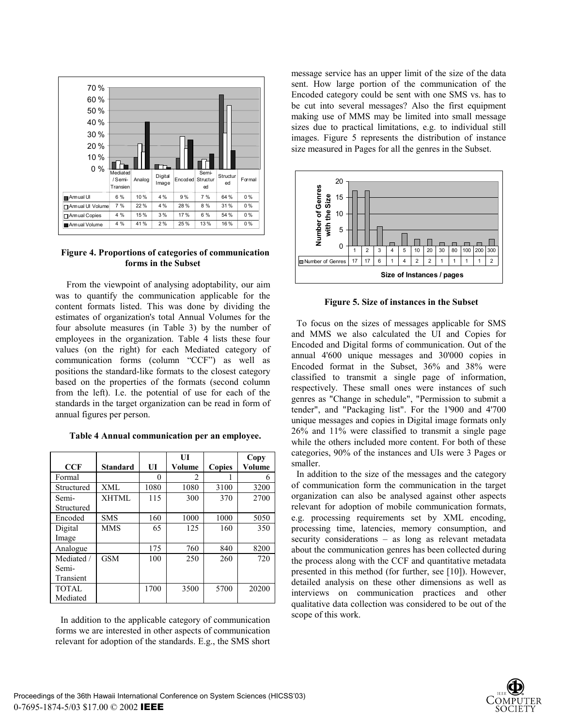

#### **Figure 4. Proportions of categories of communication forms in the Subset**

From the viewpoint of analysing adoptability, our aim was to quantify the communication applicable for the content formats listed. This was done by dividing the estimates of organization's total Annual Volumes for the four absolute measures (in Table 3) by the number of employees in the organization. Table 4 lists these four values (on the right) for each Mediated category of communication forms (column "CCF") as well as positions the standard-like formats to the closest category based on the properties of the formats (second column from the left). I.e. the potential of use for each of the standards in the target organization can be read in form of annual figures per person.

|              |                 |      | UI                          |        | Copy   |
|--------------|-----------------|------|-----------------------------|--------|--------|
| CCF          | <b>Standard</b> | UI   | Volume                      | Copies | Volume |
| Formal       |                 | 0    | $\mathcal{D}_{\mathcal{A}}$ |        | 6      |
| Structured   | XML             | 1080 | 1080                        | 3100   | 3200   |
| Semi-        | XHTML           | 115  | 300                         | 370    | 2700   |
| Structured   |                 |      |                             |        |        |
| Encoded      | <b>SMS</b>      | 160  | 1000                        | 1000   | 5050   |
| Digital      | <b>MMS</b>      | 65   | 125                         | 160    | 350    |
| Image        |                 |      |                             |        |        |
| Analogue     |                 | 175  | 760                         | 840    | 8200   |
| Mediated /   | <b>GSM</b>      | 100  | 250                         | 260    | 720    |
| Semi-        |                 |      |                             |        |        |
| Transient    |                 |      |                             |        |        |
| <b>TOTAL</b> |                 | 1700 | 3500                        | 5700   | 20200  |
| Mediated     |                 |      |                             |        |        |

**Table 4 Annual communication per an employee.** 

In addition to the applicable category of communication forms we are interested in other aspects of communication relevant for adoption of the standards. E.g., the SMS short

message service has an upper limit of the size of the data sent. How large portion of the communication of the Encoded category could be sent with one SMS vs. has to be cut into several messages? Also the first equipment making use of MMS may be limited into small message sizes due to practical limitations, e.g. to individual still images. Figure 5 represents the distribution of instance size measured in Pages for all the genres in the Subset.



**Figure 5. Size of instances in the Subset** 

To focus on the sizes of messages applicable for SMS and MMS we also calculated the UI and Copies for Encoded and Digital forms of communication. Out of the annual 4'600 unique messages and 30'000 copies in Encoded format in the Subset, 36% and 38% were classified to transmit a single page of information, respectively. These small ones were instances of such genres as "Change in schedule", "Permission to submit a tender", and "Packaging list". For the 1'900 and 4'700 unique messages and copies in Digital image formats only 26% and 11% were classified to transmit a single page while the others included more content. For both of these categories, 90% of the instances and UIs were 3 Pages or smaller.

In addition to the size of the messages and the category of communication form the communication in the target organization can also be analysed against other aspects relevant for adoption of mobile communication formats, e.g. processing requirements set by XML encoding, processing time, latencies, memory consumption, and security considerations – as long as relevant metadata about the communication genres has been collected during the process along with the CCF and quantitative metadata presented in this method (for further, see [10]). However, detailed analysis on these other dimensions as well as interviews on communication practices and other qualitative data collection was considered to be out of the scope of this work.

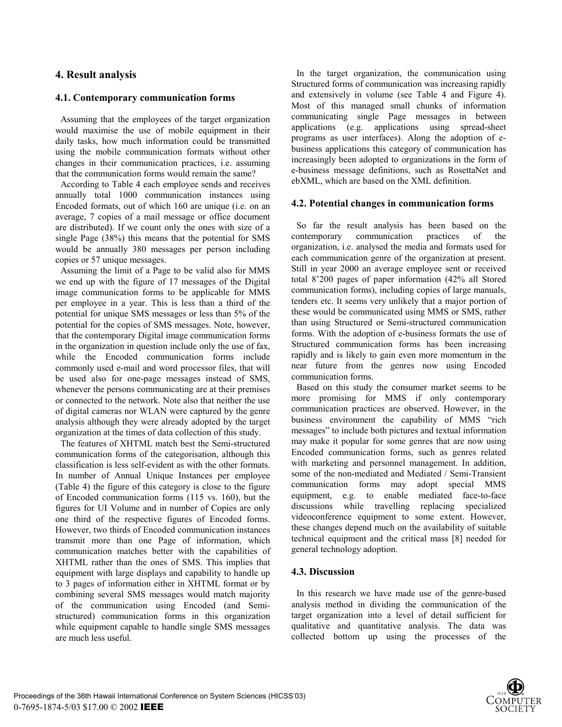# **4. Result analysis**

#### **4.1. Contemporary communication forms**

Assuming that the employees of the target organization would maximise the use of mobile equipment in their daily tasks, how much information could be transmitted using the mobile communication formats without other changes in their communication practices, i.e. assuming that the communication forms would remain the same?

According to Table 4 each employee sends and receives annually total 1000 communication instances using Encoded formats, out of which 160 are unique (i.e. on an average, 7 copies of a mail message or office document are distributed). If we count only the ones with size of a single Page (38%) this means that the potential for SMS would be annually 380 messages per person including copies or 57 unique messages.

Assuming the limit of a Page to be valid also for MMS we end up with the figure of 17 messages of the Digital image communication forms to be applicable for MMS per employee in a year. This is less than a third of the potential for unique SMS messages or less than 5% of the potential for the copies of SMS messages. Note, however, that the contemporary Digital image communication forms in the organization in question include only the use of fax, while the Encoded communication forms include commonly used e-mail and word processor files, that will be used also for one-page messages instead of SMS, whenever the persons communicating are at their premises or connected to the network. Note also that neither the use of digital cameras nor WLAN were captured by the genre analysis although they were already adopted by the target organization at the times of data collection of this study.

The features of XHTML match best the Semi-structured communication forms of the categorisation, although this classification is less self-evident as with the other formats. In number of Annual Unique Instances per employee (Table 4) the figure of this category is close to the figure of Encoded communication forms (115 vs. 160), but the figures for UI Volume and in number of Copies are only one third of the respective figures of Encoded forms. However, two thirds of Encoded communication instances transmit more than one Page of information, which communication matches better with the capabilities of XHTML rather than the ones of SMS. This implies that equipment with large displays and capability to handle up to 3 pages of information either in XHTML format or by combining several SMS messages would match majority of the communication using Encoded (and Semistructured) communication forms in this organization while equipment capable to handle single SMS messages are much less useful.

In the target organization, the communication using Structured forms of communication was increasing rapidly and extensively in volume (see Table 4 and Figure 4). Most of this managed small chunks of information communicating single Page messages in between applications (e.g. applications using spread-sheet programs as user interfaces). Along the adoption of ebusiness applications this category of communication has increasingly been adopted to organizations in the form of e-business message definitions, such as RosettaNet and ebXML, which are based on the XML definition.

#### **4.2. Potential changes in communication forms**

So far the result analysis has been based on the contemporary communication practices of the organization, i.e. analysed the media and formats used for each communication genre of the organization at present. Still in year 2000 an average employee sent or received total 8'200 pages of paper information (42% all Stored communication forms), including copies of large manuals, tenders etc. It seems very unlikely that a major portion of these would be communicated using MMS or SMS, rather than using Structured or Semi-structured communication forms. With the adoption of e-business formats the use of Structured communication forms has been increasing rapidly and is likely to gain even more momentum in the near future from the genres now using Encoded communication forms.

Based on this study the consumer market seems to be more promising for MMS if only contemporary communication practices are observed. However, in the business environment the capability of MMS "rich messages" to include both pictures and textual information may make it popular for some genres that are now using Encoded communication forms, such as genres related with marketing and personnel management. In addition, some of the non-mediated and Mediated / Semi-Transient communication forms may adopt special MMS equipment, e.g. to enable mediated face-to-face discussions while travelling replacing specialized videoconference equipment to some extent. However, these changes depend much on the availability of suitable technical equipment and the critical mass [8] needed for general technology adoption.

#### **4.3. Discussion**

In this research we have made use of the genre-based analysis method in dividing the communication of the target organization into a level of detail sufficient for qualitative and quantitative analysis. The data was collected bottom up using the processes of the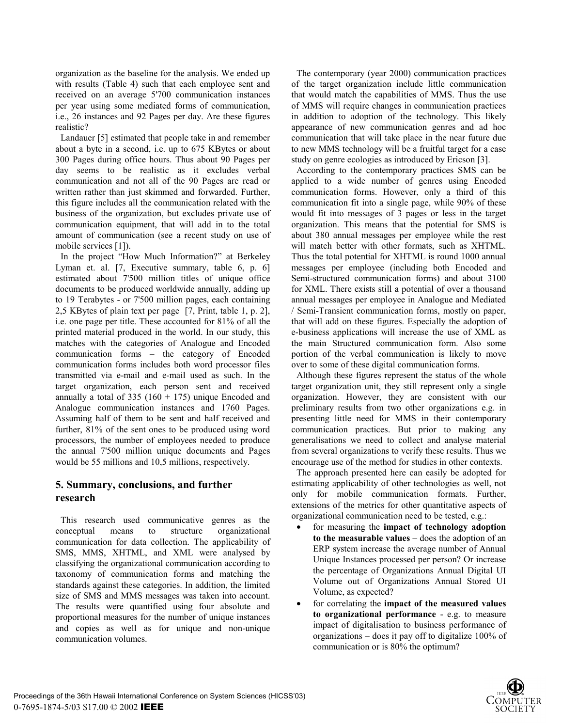organization as the baseline for the analysis. We ended up with results (Table 4) such that each employee sent and received on an average 5'700 communication instances per year using some mediated forms of communication, i.e., 26 instances and 92 Pages per day. Are these figures realistic?

Landauer [5] estimated that people take in and remember about a byte in a second, i.e. up to 675 KBytes or about 300 Pages during office hours. Thus about 90 Pages per day seems to be realistic as it excludes verbal communication and not all of the 90 Pages are read or written rather than just skimmed and forwarded. Further, this figure includes all the communication related with the business of the organization, but excludes private use of communication equipment, that will add in to the total amount of communication (see a recent study on use of mobile services [1]).

In the project "How Much Information?" at Berkeley Lyman et. al. [7, Executive summary, table 6, p. 6] estimated about 7'500 million titles of unique office documents to be produced worldwide annually, adding up to 19 Terabytes - or 7'500 million pages, each containing 2,5 KBytes of plain text per page [7, Print, table 1, p. 2], i.e. one page per title. These accounted for 81% of all the printed material produced in the world. In our study, this matches with the categories of Analogue and Encoded communication forms – the category of Encoded communication forms includes both word processor files transmitted via e-mail and e-mail used as such. In the target organization, each person sent and received annually a total of  $335 (160 + 175)$  unique Encoded and Analogue communication instances and 1760 Pages. Assuming half of them to be sent and half received and further, 81% of the sent ones to be produced using word processors, the number of employees needed to produce the annual 7'500 million unique documents and Pages would be 55 millions and 10,5 millions, respectively.

# **5. Summary, conclusions, and further research**

This research used communicative genres as the conceptual means to structure organizational communication for data collection. The applicability of SMS, MMS, XHTML, and XML were analysed by classifying the organizational communication according to taxonomy of communication forms and matching the standards against these categories. In addition, the limited size of SMS and MMS messages was taken into account. The results were quantified using four absolute and proportional measures for the number of unique instances and copies as well as for unique and non-unique communication volumes.

The contemporary (year 2000) communication practices of the target organization include little communication that would match the capabilities of MMS. Thus the use of MMS will require changes in communication practices in addition to adoption of the technology. This likely appearance of new communication genres and ad hoc communication that will take place in the near future due to new MMS technology will be a fruitful target for a case study on genre ecologies as introduced by Ericson [3].

According to the contemporary practices SMS can be applied to a wide number of genres using Encoded communication forms. However, only a third of this communication fit into a single page, while 90% of these would fit into messages of 3 pages or less in the target organization. This means that the potential for SMS is about 380 annual messages per employee while the rest will match better with other formats, such as XHTML. Thus the total potential for XHTML is round 1000 annual messages per employee (including both Encoded and Semi-structured communication forms) and about 3100 for XML. There exists still a potential of over a thousand annual messages per employee in Analogue and Mediated / Semi-Transient communication forms, mostly on paper, that will add on these figures. Especially the adoption of e-business applications will increase the use of XML as the main Structured communication form. Also some portion of the verbal communication is likely to move over to some of these digital communication forms.

Although these figures represent the status of the whole target organization unit, they still represent only a single organization. However, they are consistent with our preliminary results from two other organizations e.g. in presenting little need for MMS in their contemporary communication practices. But prior to making any generalisations we need to collect and analyse material from several organizations to verify these results. Thus we encourage use of the method for studies in other contexts.

The approach presented here can easily be adopted for estimating applicability of other technologies as well, not only for mobile communication formats. Further, extensions of the metrics for other quantitative aspects of organizational communication need to be tested, e.g.:

- for measuring the **impact of technology adoption to the measurable values** – does the adoption of an ERP system increase the average number of Annual Unique Instances processed per person? Or increase the percentage of Organizations Annual Digital UI Volume out of Organizations Annual Stored UI Volume, as expected?
- for correlating the **impact of the measured values to organizational performance** - e.g. to measure impact of digitalisation to business performance of organizations – does it pay off to digitalize 100% of communication or is 80% the optimum?

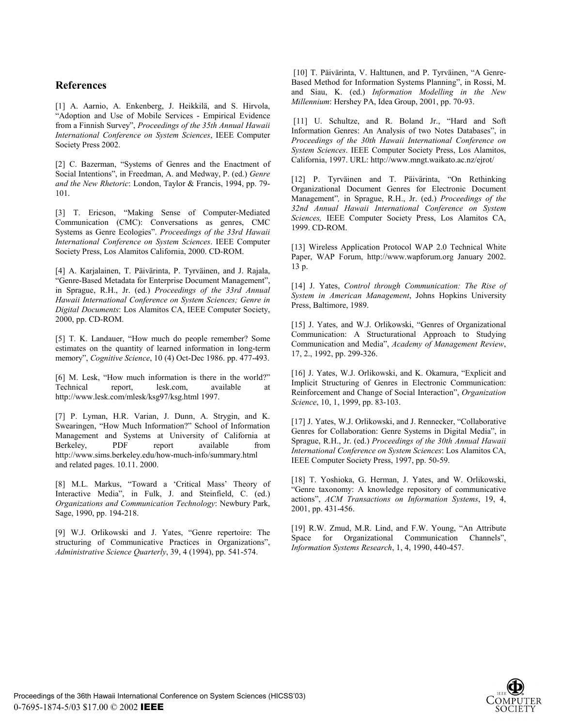# **References**

[1] A. Aarnio, A. Enkenberg, J. Heikkilä, and S. Hirvola, "Adoption and Use of Mobile Services - Empirical Evidence from a Finnish Survey", *Proceedings of the 35th Annual Hawaii International Conference on System Sciences*, IEEE Computer Society Press 2002.

[2] C. Bazerman, "Systems of Genres and the Enactment of Social Intentions", in Freedman, A. and Medway, P. (ed.) *Genre and the New Rhetoric*: London, Taylor & Francis, 1994, pp. 79- 101.

[3] T. Ericson, "Making Sense of Computer-Mediated Communication (CMC): Conversations as genres, CMC Systems as Genre Ecologies". *Proceedings of the 33rd Hawaii International Conference on System Sciences*. IEEE Computer Society Press, Los Alamitos California, 2000. CD-ROM.

[4] A. Karjalainen, T. Päivärinta, P. Tyrväinen, and J. Rajala, "Genre-Based Metadata for Enterprise Document Management", in Sprague, R.H., Jr. (ed.) *Proceedings of the 33rd Annual Hawaii International Conference on System Sciences; Genre in Digital Documents*: Los Alamitos CA, IEEE Computer Society, 2000, pp. CD-ROM.

[5] T. K. Landauer, "How much do people remember? Some estimates on the quantity of learned information in long-term memory", *Cognitive Science*, 10 (4) Oct-Dec 1986. pp. 477-493.

[6] M. Lesk, "How much information is there in the world?" Technical report, lesk.com, available at http://www.lesk.com/mlesk/ksg97/ksg.html 1997.

[7] P. Lyman, H.R. Varian, J. Dunn, A. Strygin, and K. Swearingen, "How Much Information?" School of Information Management and Systems at University of California at Berkeley, PDF report available from http://www.sims.berkeley.edu/how-much-info/summary.html and related pages. 10.11. 2000.

[8] M.L. Markus, "Toward a 'Critical Mass' Theory of Interactive Media", in Fulk, J. and Steinfield, C. (ed.) *Organizations and Communication Technology*: Newbury Park, Sage, 1990, pp. 194-218.

[9] W.J. Orlikowski and J. Yates, "Genre repertoire: The structuring of Communicative Practices in Organizations", *Administrative Science Quarterly*, 39, 4 (1994), pp. 541-574.

 [10] T. Päivärinta, V. Halttunen, and P. Tyrväinen, "A Genre-Based Method for Information Systems Planning", in Rossi, M. and Siau, K. (ed.) *Information Modelling in the New Millennium*: Hershey PA, Idea Group, 2001, pp. 70-93.

[11] U. Schultze, and R. Boland Jr., "Hard and Soft Information Genres: An Analysis of two Notes Databases", in *Proceedings of the 30th Hawaii International Conference on System Sciences*. IEEE Computer Society Press, Los Alamitos, California, 1997. URL: http://www.mngt.waikato.ac.nz/ejrot/

[12] P. Tyrväinen and T. Päivärinta, "On Rethinking Organizational Document Genres for Electronic Document Management"*,* in Sprague, R.H., Jr. (ed.) *Proceedings of the 32nd Annual Hawaii International Conference on System Sciences,* IEEE Computer Society Press, Los Alamitos CA, 1999. CD-ROM.

[13] Wireless Application Protocol WAP 2.0 Technical White Paper, WAP Forum, http://www.wapforum.org January 2002. 13 p.

[14] J. Yates, *Control through Communication: The Rise of System in American Management*, Johns Hopkins University Press, Baltimore, 1989.

[15] J. Yates, and W.J. Orlikowski, "Genres of Organizational Communication: A Structurational Approach to Studying Communication and Media", *Academy of Management Review*, 17, 2., 1992, pp. 299-326.

[16] J. Yates, W.J. Orlikowski, and K. Okamura, "Explicit and Implicit Structuring of Genres in Electronic Communication: Reinforcement and Change of Social Interaction", *Organization Science*, 10, 1, 1999, pp. 83-103.

[17] J. Yates, W.J. Orlikowski, and J. Rennecker, "Collaborative Genres for Collaboration: Genre Systems in Digital Media", in Sprague, R.H., Jr. (ed.) *Proceedings of the 30th Annual Hawaii International Conference on System Sciences*: Los Alamitos CA, IEEE Computer Society Press, 1997, pp. 50-59.

[18] T. Yoshioka, G. Herman, J. Yates, and W. Orlikowski, "Genre taxonomy: A knowledge repository of communicative actions", *ACM Transactions on Information Systems*, 19, 4, 2001, pp. 431-456.

[19] R.W. Zmud, M.R. Lind, and F.W. Young, "An Attribute Space for Organizational Communication Channels", *Information Systems Research*, 1, 4, 1990, 440-457.